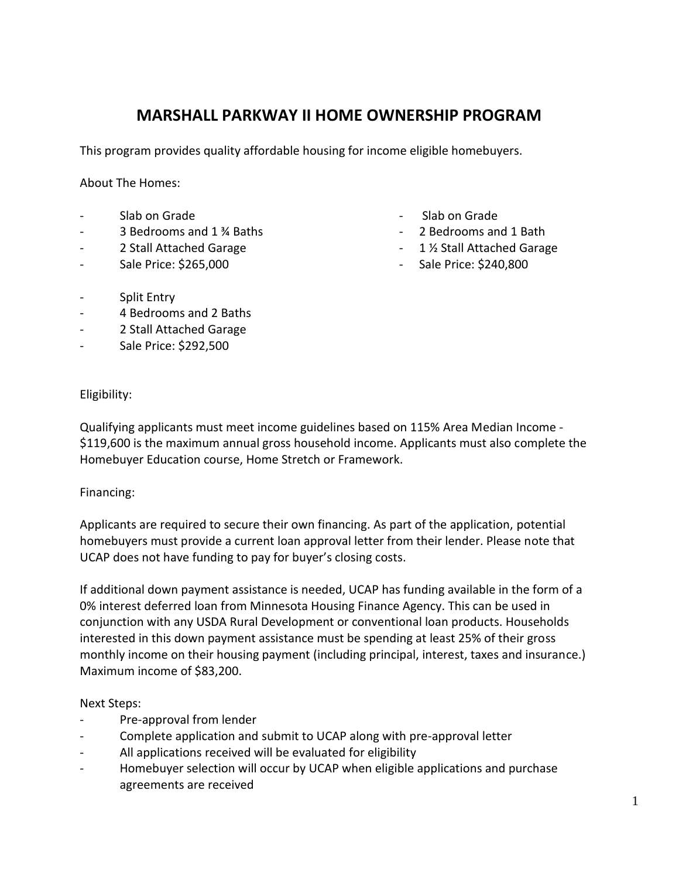# **MARSHALL PARKWAY II HOME OWNERSHIP PROGRAM**

This program provides quality affordable housing for income eligible homebuyers.

About The Homes:

- Slab on Grade
- 3 Bedrooms and 1 ¾ Baths
- 2 Stall Attached Garage
- Sale Price: \$265,000
- Slab on Grade
- 2 Bedrooms and 1 Bath
- 1 ½ Stall Attached Garage
- Sale Price: \$240,800

- Split Entry
- 4 Bedrooms and 2 Baths
- 2 Stall Attached Garage
- Sale Price: \$292,500

Eligibility:

Qualifying applicants must meet income guidelines based on 115% Area Median Income - \$119,600 is the maximum annual gross household income. Applicants must also complete the Homebuyer Education course, Home Stretch or Framework.

# Financing:

Applicants are required to secure their own financing. As part of the application, potential homebuyers must provide a current loan approval letter from their lender. Please note that UCAP does not have funding to pay for buyer's closing costs.

If additional down payment assistance is needed, UCAP has funding available in the form of a 0% interest deferred loan from Minnesota Housing Finance Agency. This can be used in conjunction with any USDA Rural Development or conventional loan products. Households interested in this down payment assistance must be spending at least 25% of their gross monthly income on their housing payment (including principal, interest, taxes and insurance.) Maximum income of \$83,200.

# Next Steps:

- Pre-approval from lender
- Complete application and submit to UCAP along with pre-approval letter
- All applications received will be evaluated for eligibility
- Homebuyer selection will occur by UCAP when eligible applications and purchase agreements are received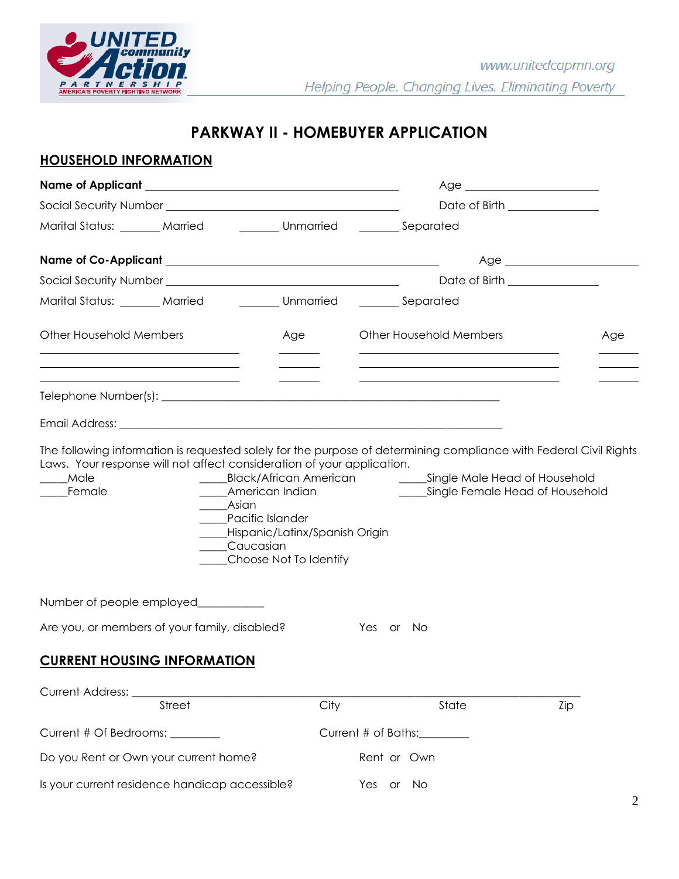

# **PARKWAY II - HOMEBUYER APPLICATION**

# **HOUSEHOLD INFORMATION**

|                                                                                                                       |                                                      |                                                                                                                              |      |                                | $Age \_$                                                                                                                  |     |
|-----------------------------------------------------------------------------------------------------------------------|------------------------------------------------------|------------------------------------------------------------------------------------------------------------------------------|------|--------------------------------|---------------------------------------------------------------------------------------------------------------------------|-----|
|                                                                                                                       |                                                      |                                                                                                                              |      |                                | Date of Birth _______________                                                                                             |     |
| Marital Status: _______ Married _________ Unmarried ________ Separated                                                |                                                      |                                                                                                                              |      |                                |                                                                                                                           |     |
|                                                                                                                       |                                                      |                                                                                                                              |      |                                | $Age \_$                                                                                                                  |     |
|                                                                                                                       |                                                      |                                                                                                                              |      |                                | Date of Birth _______________                                                                                             |     |
| Marital Status: _______ Married _________ Unmarried ________ Separated                                                |                                                      |                                                                                                                              |      |                                |                                                                                                                           |     |
| <b>Other Household Members</b>                                                                                        |                                                      | Age                                                                                                                          |      | <b>Other Household Members</b> |                                                                                                                           | Age |
| <u> 1989 - Johann Stoff, deutscher Stoff, der Stoff, der Stoff, der Stoff, der Stoff, der Stoff, der Stoff, der S</u> | <u> 1989 - Johann Stein, Amerikaansk politiker (</u> |                                                                                                                              |      |                                | <u> 1989 - Johann Stoff, Amerikaansk politiker (* 1908)</u><br><u> 1989 - Johann Barn, amerikansk politiker (d. 1989)</u> |     |
|                                                                                                                       |                                                      |                                                                                                                              |      |                                |                                                                                                                           |     |
| Male<br>Female                                                                                                        | ______Asian                                          | American Indian<br>____Pacific Islander<br>____Hispanic/Latinx/Spanish Origin<br>____Caucasian<br>____Choose Not To Identify |      |                                | ______Single Female Head of Household                                                                                     |     |
| Number of people employed___________                                                                                  |                                                      |                                                                                                                              |      |                                |                                                                                                                           |     |
| Are you, or members of your family, disabled?                                                                         |                                                      |                                                                                                                              |      | Yes or No                      |                                                                                                                           |     |
| <b>CURRENT HOUSING INFORMATION</b>                                                                                    |                                                      |                                                                                                                              |      |                                |                                                                                                                           |     |
| Current Address: ___                                                                                                  |                                                      |                                                                                                                              |      |                                |                                                                                                                           |     |
|                                                                                                                       | <b>Street</b>                                        |                                                                                                                              | City | State                          | Zip                                                                                                                       |     |
| Current # Of Bedrooms: _______                                                                                        |                                                      |                                                                                                                              |      | Current # of Baths:_________   |                                                                                                                           |     |
| Do you Rent or Own your current home?                                                                                 |                                                      |                                                                                                                              |      | Rent or Own                    |                                                                                                                           |     |
| Is your current residence handicap accessible?                                                                        |                                                      |                                                                                                                              |      | Yes or No                      |                                                                                                                           |     |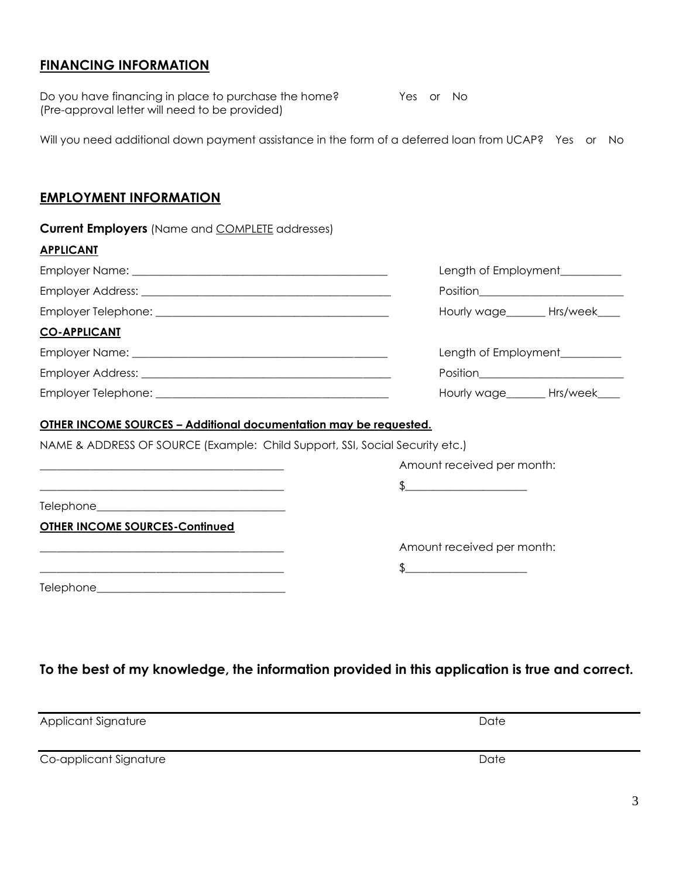# **FINANCING INFORMATION**

Do you have financing in place to purchase the home? Yes or No (Pre-approval letter will need to be provided)

Will you need additional down payment assistance in the form of a deferred loan from UCAP? Yes or No

# **EMPLOYMENT INFORMATION**

| <b>Current Employers</b> (Name and <b>COMPLETE</b> addresses)                                                                                                                                                                                                                     |                                                                                                                                                                                                                                                                                                                                                                                                                                                  |
|-----------------------------------------------------------------------------------------------------------------------------------------------------------------------------------------------------------------------------------------------------------------------------------|--------------------------------------------------------------------------------------------------------------------------------------------------------------------------------------------------------------------------------------------------------------------------------------------------------------------------------------------------------------------------------------------------------------------------------------------------|
| <b>APPLICANT</b>                                                                                                                                                                                                                                                                  |                                                                                                                                                                                                                                                                                                                                                                                                                                                  |
|                                                                                                                                                                                                                                                                                   | Length of Employment__________                                                                                                                                                                                                                                                                                                                                                                                                                   |
|                                                                                                                                                                                                                                                                                   |                                                                                                                                                                                                                                                                                                                                                                                                                                                  |
|                                                                                                                                                                                                                                                                                   | Hourly wage_______ Hrs/week____                                                                                                                                                                                                                                                                                                                                                                                                                  |
| <b>CO-APPLICANT</b>                                                                                                                                                                                                                                                               |                                                                                                                                                                                                                                                                                                                                                                                                                                                  |
|                                                                                                                                                                                                                                                                                   | Length of Employment__________                                                                                                                                                                                                                                                                                                                                                                                                                   |
|                                                                                                                                                                                                                                                                                   |                                                                                                                                                                                                                                                                                                                                                                                                                                                  |
|                                                                                                                                                                                                                                                                                   | Hourly wage_______ Hrs/week____                                                                                                                                                                                                                                                                                                                                                                                                                  |
| <u> OTHER INCOME SOURCES – Additional documentation may be requested.</u><br>NAME & ADDRESS OF SOURCE (Example: Child Support, SSI, Social Security etc.)<br><u> 1989 - Johann Barn, mars and deutscher Stadt and deutscher Stadt and deutscher Stadt and deutscher Stadt and</u> | Amount received per month:                                                                                                                                                                                                                                                                                                                                                                                                                       |
|                                                                                                                                                                                                                                                                                   | $\begin{array}{c} \text{\bf 3} & \text{\bf 1} \\ \text{\bf 2} & \text{\bf 3} \\ \text{\bf 3} & \text{\bf 4} \\ \text{\bf 5} & \text{\bf 6} \\ \text{\bf 6} & \text{\bf 7} \\ \text{\bf 8} & \text{\bf 9} \\ \text{\bf 1} & \text{\bf 1} \\ \text{\bf 1} & \text{\bf 1} \\ \text{\bf 2} & \text{\bf 3} \\ \text{\bf 3} & \text{\bf 1} \\ \text{\bf 4} & \text{\bf 1} \\ \text{\bf 5} & \text{\bf 1} \\ \text{\bf 6} & \text{\bf 1} \\ \text{\bf $ |
| <b>OTHER INCOME SOURCES-Continued</b>                                                                                                                                                                                                                                             |                                                                                                                                                                                                                                                                                                                                                                                                                                                  |
|                                                                                                                                                                                                                                                                                   | Amount received per month:                                                                                                                                                                                                                                                                                                                                                                                                                       |
| <u> 1989 - Johann John Stone, mars and de format de la propinsion de la propinsion de la propinsion de la propinsi</u>                                                                                                                                                            | $\begin{array}{c} \text{\bf 5} \end{array}$                                                                                                                                                                                                                                                                                                                                                                                                      |
|                                                                                                                                                                                                                                                                                   |                                                                                                                                                                                                                                                                                                                                                                                                                                                  |

**To the best of my knowledge, the information provided in this application is true and correct.**

Applicant Signature Date

Co-applicant Signature Date Date Date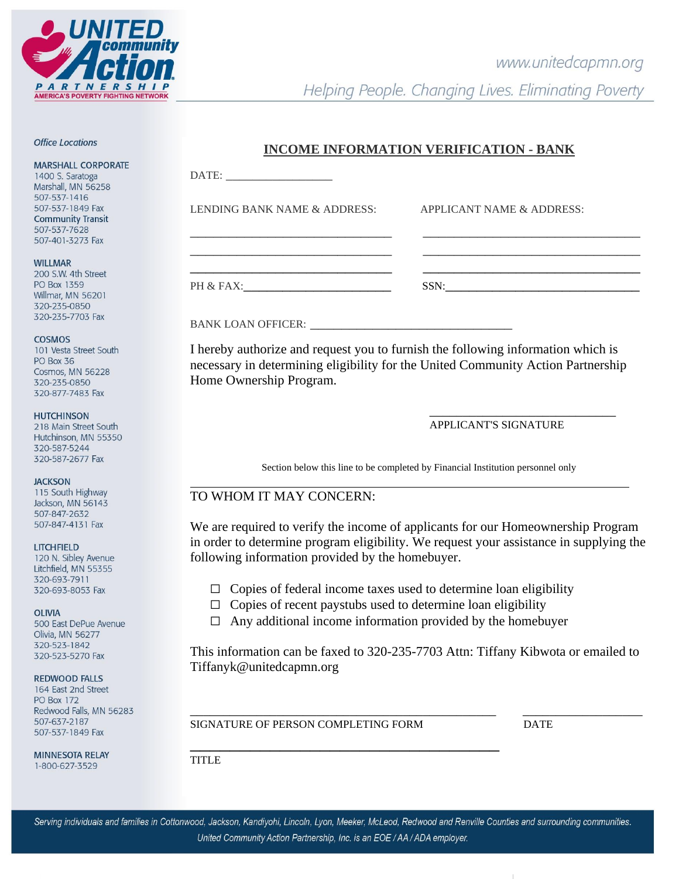

# www.unitedcapmn.org

Helping People. Changing Lives. Eliminating Poverty

#### **Office Locations**

**MARSHALL CORPORATE** 

1400 S. Saratoga Marshall, MN 56258 507-537-1416 507-537-1849 Fax **Community Transit** 507-537-7628 507-401-3273 Fax

#### **WILLMAR**

200 S.W. 4th Street PO Box 1359 Willmar, MN 56201 320-235-0850 320-235-7703 Fax

#### COSMOS

101 Vesta Street South PO Box 36 Cosmos, MN 56228 320-235-0850 320-877-7483 Fax

#### **HUTCHINSON**

218 Main Street South Hutchinson, MN 55350 320-587-5244 320-587-2677 Fax

# **JACKSON**

115 South Highway Jackson, MN 56143 507-847-2632 507-847-4131 Fax

#### **LITCHFIELD**

120 N. Sibley Avenue Litchfield, MN 55355 320-693-7911 320-693-8053 Fax

#### **OLIVIA**

500 East DePue Avenue Olivia, MN 56277 320-523-1842 320-523-5270 Fax

# REDWOOD FALLS

164 East 2nd Street **PO Box 172** Redwood Falls, MN 56283 507-637-2187 507-537-1849 Fax

MINNESOTA RELAY 1-800-627-3529

# **INCOME INFORMATION VERIFICATION - BANK**

| $\text{DATE:}\n \begin{array}{ccc}\n \text{} & \text{} & \text{} \\ \text{} & \text{} & \text{} \\ \text{} & \text{} & \text{} \\ \text{} & \text{} & \text{} \\ \text{} & \text{} & \text{} \\ \text{} & \text{} & \text{} \\ \text{} & \text{} & \text{} \\ \text{} & \text{} & \text{} \\ \text{} & \text{} & \text{} \\ \text{} & \text{} & \text{} \\ \text{} & \text{} & \text{} \\ \text{} & \text{} & \text{} \\ \text{} & \text{} & \text{} \\ \text{} & \text{}$ |                           |
|----------------------------------------------------------------------------------------------------------------------------------------------------------------------------------------------------------------------------------------------------------------------------------------------------------------------------------------------------------------------------------------------------------------------------------------------------------------------------|---------------------------|
| LENDING BANK NAME & ADDRESS:                                                                                                                                                                                                                                                                                                                                                                                                                                               | APPLICANT NAME & ADDRESS: |
| the control of the control of the control of the control of the control of the control of                                                                                                                                                                                                                                                                                                                                                                                  |                           |
| PH & FAX:                                                                                                                                                                                                                                                                                                                                                                                                                                                                  | SSN:                      |

# BANK LOAN OFFICER:

I hereby authorize and request you to furnish the following information which is necessary in determining eligibility for the United Community Action Partnership Home Ownership Program.

# APPLICANT'S SIGNATURE

\_\_\_\_\_\_\_\_\_\_\_\_\_\_\_\_\_\_\_\_\_\_\_\_\_\_\_\_

l

Section below this line to be completed by Financial Institution personnel only

# TO WHOM IT MAY CONCERN:

We are required to verify the income of applicants for our Homeownership Program in order to determine program eligibility. We request your assistance in supplying the following information provided by the homebuyer.

- $\Box$  Copies of federal income taxes used to determine loan eligibility
- $\Box$  Copies of recent paystubs used to determine loan eligibility
- $\Box$  Any additional income information provided by the homebuyer

This information can be faxed to 320-235-7703 Attn: Tiffany Kibwota or emailed to Tiffanyk@unitedcapmn.org

SIGNATURE OF PERSON COMPLETING FORM DATE

\_\_\_\_\_\_\_\_\_\_\_\_\_\_\_\_\_\_\_\_\_\_\_\_\_\_\_\_\_\_\_\_\_\_\_\_\_\_\_\_\_\_\_\_\_\_ \_\_\_\_\_\_\_\_\_\_\_\_\_\_\_\_\_\_

\_\_\_\_\_\_\_\_\_\_\_\_\_\_\_\_\_\_\_\_\_\_\_\_\_\_\_\_\_\_\_ **TITLE** 

Serving individuals and families in Cottonwood, Jackson, Kandiyohi, Lincoln, Lyon, Meeker, McLeod, Redwood and Renville Counties and surrounding communities. United Community Action Partnership, Inc. is an EOE / AA / ADA employer.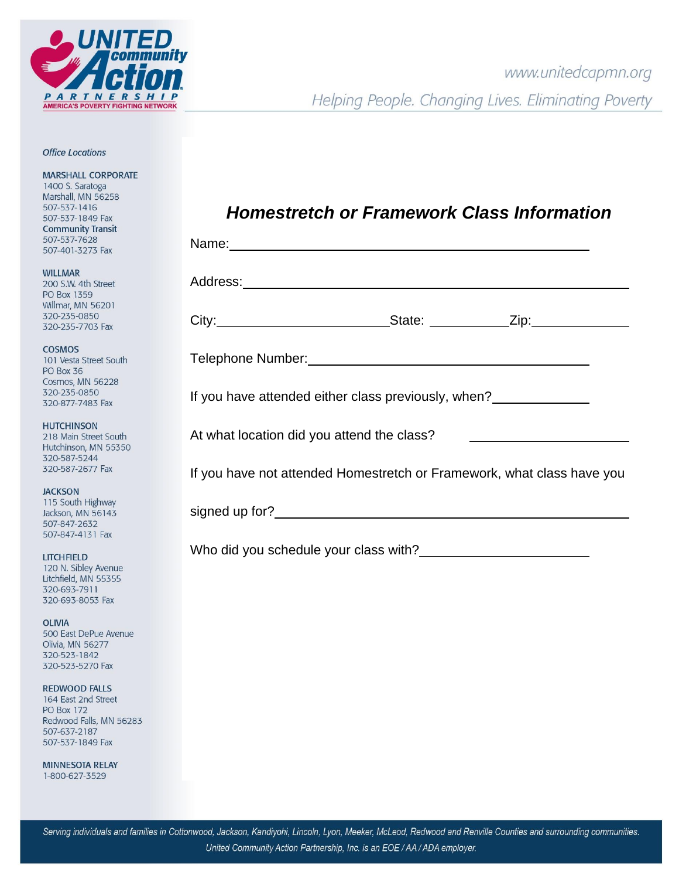

# **Office Locations**

**MARSHALL CORPORATE** 

1400 S. Saratoga Marshall, MN 56258 507-537-1416 507-537-1849 Fax **Community Transit** 507-537-7628 507-401-3273 Fax

**WILLMAR** 200 S.W. 4th Street PO Box 1359 Willmar, MN 56201 320-235-0850 320-235-7703 Fax

**COSMOS** 101 Vesta Street South PO Box 36 Cosmos, MN 56228 320-235-0850 320-877-7483 Fax

**HUTCHINSON** 218 Main Street South Hutchinson, MN 55350 320-587-5244 320-587-2677 Fax

**JACKSON** 115 South Highway Jackson, MN 56143 507-847-2632 507-847-4131 Fax

**LITCHFIELD** 120 N. Sibley Avenue Litchfield, MN 55355 320-693-7911 320-693-8053 Fax

**OLIVIA** 500 East DePue Avenue Olivia, MN 56277 320-523-1842 320-523-5270 Fax

**REDWOOD FALLS** 164 East 2nd Street **PO Box 172** Redwood Falls, MN 56283 507-637-2187 507-537-1849 Fax

**MINNESOTA RELAY** 1-800-627-3529

| <b>Homestretch or Framework Class Information</b> |  |  |  |  |
|---------------------------------------------------|--|--|--|--|
|---------------------------------------------------|--|--|--|--|

| If you have attended either class previously, when?                    |
|------------------------------------------------------------------------|
| At what location did you attend the class?                             |
| If you have not attended Homestretch or Framework, what class have you |
|                                                                        |
|                                                                        |
|                                                                        |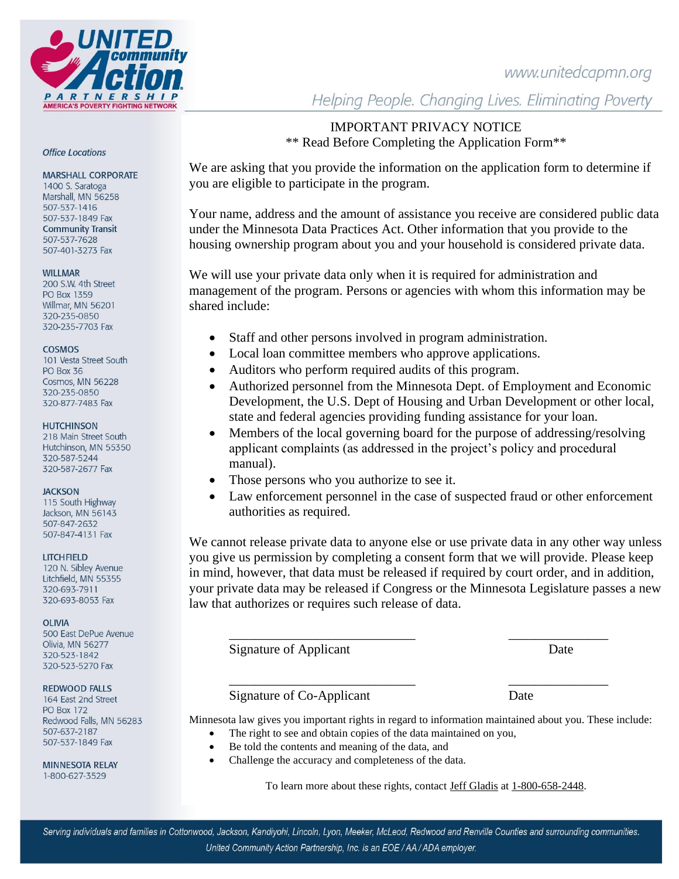# www.unitedcapmn.org



#### **Office Locations**

#### **MARSHALL CORPORATE**

1400 S. Saratoga Marshall, MN 56258 507-537-1416 507-537-1849 Fax **Community Transit** 507-537-7628 507-401-3273 Fax

# **WILLMAR**

200 S.W. 4th Street PO Box 1359 Willmar, MN 56201 320-235-0850 320-235-7703 Fax

# COSMOS

101 Vesta Street South PO Box 36 Cosmos, MN 56228 320-235-0850 320-877-7483 Fax

# **HUTCHINSON**

218 Main Street South Hutchinson, MN 55350 320-587-5244 320-587-2677 Fax

# **JACKSON**

115 South Highway Jackson, MN 56143 507-847-2632 507-847-4131 Fax

# **LITCHFIELD**

120 N. Sibley Avenue Litchfield, MN 55355 320-693-7911 320-693-8053 Fax

# **OLIVIA**

500 East DePue Avenue Olivia, MN 56277 320-523-1842 320-523-5270 Fax

# **REDWOOD FALLS**

164 East 2nd Street **PO Box 172** Redwood Falls, MN 56283 507-637-2187 507-537-1849 Fax

**MINNESOTA RELAY** 1-800-627-3529

Helping People. Changing Lives. Eliminating Poverty

# IMPORTANT PRIVACY NOTICE \*\* Read Before Completing the Application Form\*\*

We are asking that you provide the information on the application form to determine if you are eligible to participate in the program.

Your name, address and the amount of assistance you receive are considered public data under the Minnesota Data Practices Act. Other information that you provide to the housing ownership program about you and your household is considered private data.

We will use your private data only when it is required for administration and management of the program. Persons or agencies with whom this information may be shared include:

- Staff and other persons involved in program administration.
- Local loan committee members who approve applications.
- Auditors who perform required audits of this program.
- Authorized personnel from the Minnesota Dept. of Employment and Economic Development, the U.S. Dept of Housing and Urban Development or other local, state and federal agencies providing funding assistance for your loan.
- Members of the local governing board for the purpose of addressing/resolving applicant complaints (as addressed in the project's policy and procedural manual).
- Those persons who you authorize to see it.
- Law enforcement personnel in the case of suspected fraud or other enforcement authorities as required.

We cannot release private data to anyone else or use private data in any other way unless you give us permission by completing a consent form that we will provide. Please keep in mind, however, that data must be released if required by court order, and in addition, your private data may be released if Congress or the Minnesota Legislature passes a new law that authorizes or requires such release of data.

Signature of Applicant Date

# Signature of Co-Applicant Date

Minnesota law gives you important rights in regard to information maintained about you. These include: The right to see and obtain copies of the data maintained on you,

\_\_\_\_\_\_\_\_\_\_\_\_\_\_\_\_\_\_\_\_\_\_\_\_\_\_\_\_ \_\_\_\_\_\_\_\_\_\_\_\_\_\_\_

\_\_\_\_\_\_\_\_\_\_\_\_\_\_\_\_\_\_\_\_\_\_\_\_\_\_\_\_ \_\_\_\_\_\_\_\_\_\_\_\_\_\_\_

- Be told the contents and meaning of the data, and
- Challenge the accuracy and completeness of the data.

To learn more about these rights, contact Jeff Gladis at 1-800-658-2448.